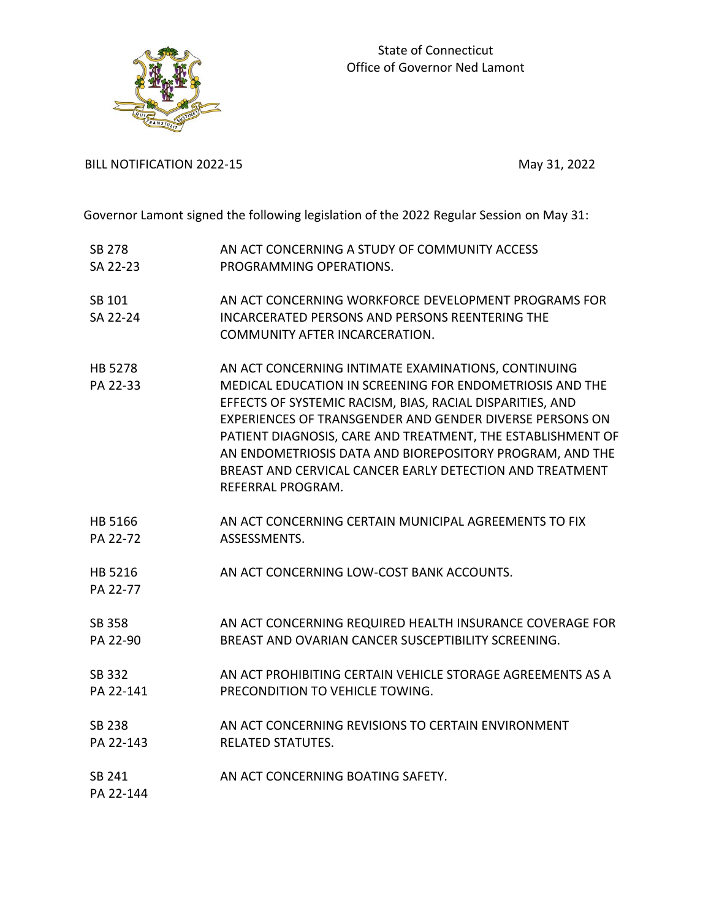



BILL NOTIFICATION 2022-15 May 31, 2022

Governor Lamont signed the following legislation of the 2022 Regular Session on May 31:

| <b>SB 278</b>  | AN ACT CONCERNING A STUDY OF COMMUNITY ACCESS               |
|----------------|-------------------------------------------------------------|
| SA 22-23       | PROGRAMMING OPERATIONS.                                     |
| SB 101         | AN ACT CONCERNING WORKFORCE DEVELOPMENT PROGRAMS FOR        |
| SA 22-24       | <b>INCARCERATED PERSONS AND PERSONS REENTERING THE</b>      |
|                | COMMUNITY AFTER INCARCERATION.                              |
| <b>HB 5278</b> | AN ACT CONCERNING INTIMATE EXAMINATIONS, CONTINUING         |
| PA 22-33       | MEDICAL EDUCATION IN SCREENING FOR ENDOMETRIOSIS AND THE    |
|                | EFFECTS OF SYSTEMIC RACISM, BIAS, RACIAL DISPARITIES, AND   |
|                | EXPERIENCES OF TRANSGENDER AND GENDER DIVERSE PERSONS ON    |
|                | PATIENT DIAGNOSIS, CARE AND TREATMENT, THE ESTABLISHMENT OF |
|                | AN ENDOMETRIOSIS DATA AND BIOREPOSITORY PROGRAM, AND THE    |
|                | BREAST AND CERVICAL CANCER EARLY DETECTION AND TREATMENT    |
|                | REFERRAL PROGRAM.                                           |
| HB 5166        | AN ACT CONCERNING CERTAIN MUNICIPAL AGREEMENTS TO FIX       |
| PA 22-72       | ASSESSMENTS.                                                |
| HB 5216        | AN ACT CONCERNING LOW-COST BANK ACCOUNTS.                   |
| PA 22-77       |                                                             |
| SB 358         | AN ACT CONCERNING REQUIRED HEALTH INSURANCE COVERAGE FOR    |
| PA 22-90       | BREAST AND OVARIAN CANCER SUSCEPTIBILITY SCREENING.         |
| SB 332         | AN ACT PROHIBITING CERTAIN VEHICLE STORAGE AGREEMENTS AS A  |
| PA 22-141      | PRECONDITION TO VEHICLE TOWING.                             |
|                |                                                             |
| <b>SB 238</b>  | AN ACT CONCERNING REVISIONS TO CERTAIN ENVIRONMENT          |
| PA 22-143      | <b>RELATED STATUTES.</b>                                    |
| SB 241         | AN ACT CONCERNING BOATING SAFETY.                           |
| PA 22-144      |                                                             |